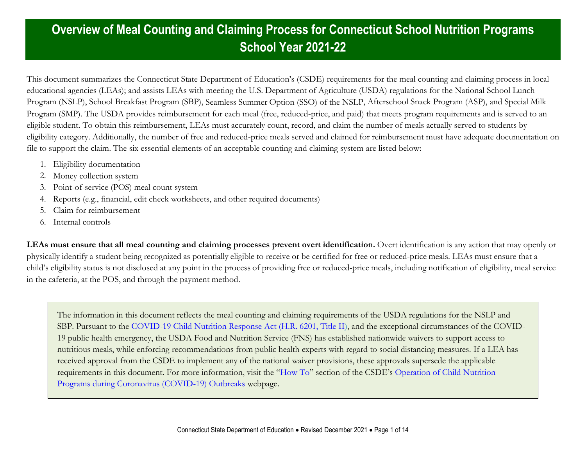This document summarizes the Connecticut State Department of Education's (CSDE) requirements for the meal counting and claiming process in local educational agencies (LEAs); and assists LEAs with meeting the U.S. Department of Agriculture (USDA) regulations for the National School Lunch Program (NSLP), School Breakfast Program (SBP), Seamless Summer Option (SSO) of the NSLP, Afterschool Snack Program (ASP), and Special Milk Program (SMP). The USDA provides reimbursement for each meal (free, reduced-price, and paid) that meets program requirements and is served to an eligible student. To obtain this reimbursement, LEAs must accurately count, record, and claim the number of meals actually served to students by eligibility category. Additionally, the number of free and reduced-price meals served and claimed for reimbursement must have adequate documentation on file to support the claim. The six essential elements of an acceptable counting and claiming system are listed below:

- 1. Eligibility documentation
- 2. Money collection system
- 3. Point-of-service (POS) meal count system
- 4. Reports (e.g., financial, edit check worksheets, and other required documents)
- 5. Claim for reimbursement
- 6. Internal controls

**LEAs must ensure that all meal counting and claiming processes prevent overt identification.** Overt identification is any action that may openly or physically identify a student being recognized as potentially eligible to receive or be certified for free or reduced-price meals. LEAs must ensure that a child's eligibility status is not disclosed at any point in the process of providing free or reduced-price meals, including notification of eligibility, meal service in the cafeteria, at the POS, and through the payment method.

The information in this document reflects the meal counting and claiming requirements of the USDA regulations for the NSLP and SBP. Pursuant to the [COVID-19 Child Nutrition Response Act \(H.R. 6201, Title II\),](https://www.congress.gov/116/bills/hr6201/BILLS-116hr6201enr.pdf) and the exceptional circumstances of the COVID-19 public health emergency, the USDA Food and Nutrition Service (FNS) has established nationwide waivers to support access to nutritious meals, while enforcing recommendations from public health experts with regard to social distancing measures. If a LEA has received approval from the CSDE to implement any of the national waiver provisions, these approvals supersede the applicable requirements in this document. For more information, visit the "[How To](https://portal.ct.gov/SDE/Nutrition/Operating-Child-Nutrition-Programs-during-COVID-19-Outbreaks/How-To)" section of the CSDE's [Operation of Child Nutrition](https://portal.ct.gov/SDE/Nutrition/Operating-Child-Nutrition-Programs-during-COVID-19-Outbreaks/How-To)  [Programs during Coronavirus \(COVID-19\) Outbreaks](https://portal.ct.gov/SDE/Nutrition/Operating-Child-Nutrition-Programs-during-COVID-19-Outbreaks/How-To) webpage.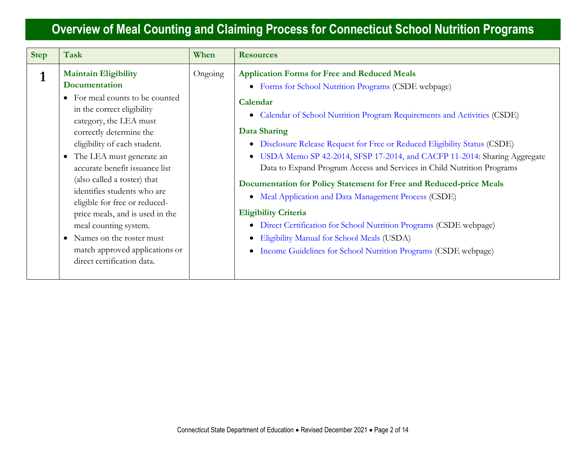| <b>Step</b> | <b>Task</b>                                                                                                                                                                                                                                                                                                                                                                                                                                                                                                                                                  | When    | <b>Resources</b>                                                                                                                                                                                                                                                                                                                                                                                                                                                                                                                                                                                                                                                                                                                                                                                                                                             |
|-------------|--------------------------------------------------------------------------------------------------------------------------------------------------------------------------------------------------------------------------------------------------------------------------------------------------------------------------------------------------------------------------------------------------------------------------------------------------------------------------------------------------------------------------------------------------------------|---------|--------------------------------------------------------------------------------------------------------------------------------------------------------------------------------------------------------------------------------------------------------------------------------------------------------------------------------------------------------------------------------------------------------------------------------------------------------------------------------------------------------------------------------------------------------------------------------------------------------------------------------------------------------------------------------------------------------------------------------------------------------------------------------------------------------------------------------------------------------------|
|             | <b>Maintain Eligibility</b><br>Documentation<br>For meal counts to be counted<br>$\bullet$<br>in the correct eligibility<br>category, the LEA must<br>correctly determine the<br>eligibility of each student.<br>The LEA must generate an<br>$\bullet$<br>accurate benefit issuance list<br>(also called a roster) that<br>identifies students who are<br>eligible for free or reduced-<br>price meals, and is used in the<br>meal counting system.<br>Names on the roster must<br>$\bullet$<br>match approved applications or<br>direct certification data. | Ongoing | <b>Application Forms for Free and Reduced Meals</b><br>• Forms for School Nutrition Programs (CSDE webpage)<br>Calendar<br>Calendar of School Nutrition Program Requirements and Activities (CSDE)<br>$\bullet$<br><b>Data Sharing</b><br>• Disclosure Release Request for Free or Reduced Eligibility Status (CSDE)<br>• USDA Memo SP 42-2014, SFSP 17-2014, and CACFP 11-2014: Sharing Aggregate<br>Data to Expand Program Access and Services in Child Nutrition Programs<br>Documentation for Policy Statement for Free and Reduced-price Meals<br>• Meal Application and Data Management Process (CSDE)<br><b>Eligibility Criteria</b><br>• Direct Certification for School Nutrition Programs (CSDE webpage)<br>Eligibility Manual for School Meals (USDA)<br>$\bullet$<br>Income Guidelines for School Nutrition Programs (CSDE webpage)<br>$\bullet$ |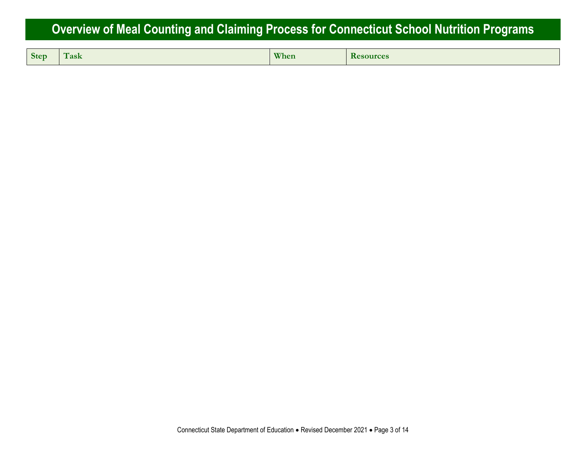| <b>Step</b> | $\mathbf{m}$<br>ask | When | $\cdots$<br>R<br>sources |
|-------------|---------------------|------|--------------------------|
|-------------|---------------------|------|--------------------------|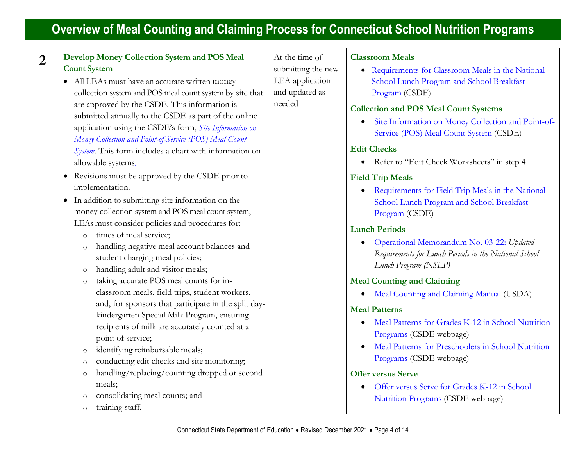| $\overline{2}$ | Develop Money Collection System and POS Meal<br><b>Count System</b><br>• All LEAs must have an accurate written money<br>collection system and POS meal count system by site that<br>are approved by the CSDE. This information is<br>submitted annually to the CSDE as part of the online<br>application using the CSDE's form, Site Information on<br>Money Collection and Point-of-Service (POS) Meal Count<br>System. This form includes a chart with information on<br>allowable systems.                                              | At the time of<br>submitting the new<br>LEA application<br>and updated as<br>needed | <b>Classroom Meals</b><br>• Requirements for Classroom Meals in the National<br>School Lunch Program and School Breakfast<br>Program (CSDE)<br><b>Collection and POS Meal Count Systems</b><br>Site Information on Money Collection and Point-of-<br>Service (POS) Meal Count System (CSDE)<br><b>Edit Checks</b><br>Refer to "Edit Check Worksheets" in step 4                                       |
|----------------|---------------------------------------------------------------------------------------------------------------------------------------------------------------------------------------------------------------------------------------------------------------------------------------------------------------------------------------------------------------------------------------------------------------------------------------------------------------------------------------------------------------------------------------------|-------------------------------------------------------------------------------------|-------------------------------------------------------------------------------------------------------------------------------------------------------------------------------------------------------------------------------------------------------------------------------------------------------------------------------------------------------------------------------------------------------|
|                | • Revisions must be approved by the CSDE prior to<br>implementation.<br>• In addition to submitting site information on the<br>money collection system and POS meal count system,<br>LEAs must consider policies and procedures for:<br>times of meal service;<br>$\circ$<br>handling negative meal account balances and<br>$\circ$<br>student charging meal policies;<br>handling adult and visitor meals;<br>$\circ$                                                                                                                      |                                                                                     | <b>Field Trip Meals</b><br>Requirements for Field Trip Meals in the National<br>School Lunch Program and School Breakfast<br>Program (CSDE)<br><b>Lunch Periods</b><br>Operational Memorandum No. 03-22: Updated<br>$\bullet$<br>Requirements for Lunch Periods in the National School<br>Lunch Program (NSLP)                                                                                        |
|                | taking accurate POS meal counts for in-<br>$\circ$<br>classroom meals, field trips, student workers,<br>and, for sponsors that participate in the split day-<br>kindergarten Special Milk Program, ensuring<br>recipients of milk are accurately counted at a<br>point of service;<br>identifying reimbursable meals;<br>$\circ$<br>conducting edit checks and site monitoring;<br>$\circ$<br>handling/replacing/counting dropped or second<br>$\circ$<br>meals;<br>consolidating meal counts; and<br>$\circ$<br>training staff.<br>$\circ$ |                                                                                     | <b>Meal Counting and Claiming</b><br>Meal Counting and Claiming Manual (USDA)<br><b>Meal Patterns</b><br>Meal Patterns for Grades K-12 in School Nutrition<br>Programs (CSDE webpage)<br>Meal Patterns for Preschoolers in School Nutrition<br>Programs (CSDE webpage)<br><b>Offer versus Serve</b><br>Offer versus Serve for Grades K-12 in School<br>$\bullet$<br>Nutrition Programs (CSDE webpage) |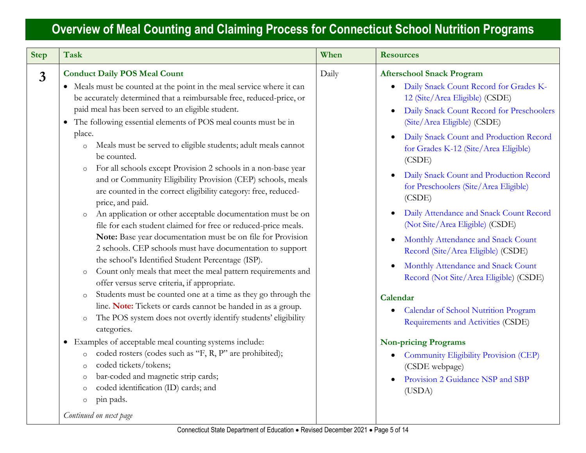| <b>Step</b>    | <b>Task</b>                                                                                                                                                                                                                                                                                                                                                                                                                                                                                                                                                                                                                                                                                                                                                                                                                                                                                                                                                                                                                                                                                                                                                                                                                                                                                                                                                                                                                                                                                                                                                                                                                                                 | When  | <b>Resources</b>                                                                                                                                                                                                                                                                                                                                                                                                                                                                                                                                                                                                                                                                                                                                                                                                                                                                                                                 |
|----------------|-------------------------------------------------------------------------------------------------------------------------------------------------------------------------------------------------------------------------------------------------------------------------------------------------------------------------------------------------------------------------------------------------------------------------------------------------------------------------------------------------------------------------------------------------------------------------------------------------------------------------------------------------------------------------------------------------------------------------------------------------------------------------------------------------------------------------------------------------------------------------------------------------------------------------------------------------------------------------------------------------------------------------------------------------------------------------------------------------------------------------------------------------------------------------------------------------------------------------------------------------------------------------------------------------------------------------------------------------------------------------------------------------------------------------------------------------------------------------------------------------------------------------------------------------------------------------------------------------------------------------------------------------------------|-------|----------------------------------------------------------------------------------------------------------------------------------------------------------------------------------------------------------------------------------------------------------------------------------------------------------------------------------------------------------------------------------------------------------------------------------------------------------------------------------------------------------------------------------------------------------------------------------------------------------------------------------------------------------------------------------------------------------------------------------------------------------------------------------------------------------------------------------------------------------------------------------------------------------------------------------|
| $\overline{3}$ | <b>Conduct Daily POS Meal Count</b><br>• Meals must be counted at the point in the meal service where it can<br>be accurately determined that a reimbursable free, reduced-price, or<br>paid meal has been served to an eligible student.<br>The following essential elements of POS meal counts must be in<br>$\bullet$<br>place.<br>Meals must be served to eligible students; adult meals cannot<br>$\circ$<br>be counted.<br>For all schools except Provision 2 schools in a non-base year<br>$\circ$<br>and or Community Eligibility Provision (CEP) schools, meals<br>are counted in the correct eligibility category: free, reduced-<br>price, and paid.<br>An application or other acceptable documentation must be on<br>$\circ$<br>file for each student claimed for free or reduced-price meals.<br>Note: Base year documentation must be on file for Provision<br>2 schools. CEP schools must have documentation to support<br>the school's Identified Student Percentage (ISP).<br>Count only meals that meet the meal pattern requirements and<br>$\circ$<br>offer versus serve criteria, if appropriate.<br>Students must be counted one at a time as they go through the<br>$\circ$<br>line. Note: Tickets or cards cannot be handed in as a group.<br>The POS system does not overtly identify students' eligibility<br>$\circ$<br>categories.<br>• Examples of acceptable meal counting systems include:<br>coded rosters (codes such as "F, R, P" are prohibited);<br>$\circ$<br>coded tickets/tokens;<br>$\circ$<br>bar-coded and magnetic strip cards;<br>O<br>coded identification (ID) cards; and<br>$\circ$<br>pin pads.<br>$\circ$ | Daily | <b>Afterschool Snack Program</b><br>Daily Snack Count Record for Grades K-<br>$\bullet$<br>12 (Site/Area Eligible) (CSDE)<br>Daily Snack Count Record for Preschoolers<br>(Site/Area Eligible) (CSDE)<br>Daily Snack Count and Production Record<br>for Grades K-12 (Site/Area Eligible)<br>(CSDE)<br>Daily Snack Count and Production Record<br>for Preschoolers (Site/Area Eligible)<br>(CSDE)<br>Daily Attendance and Snack Count Record<br>$\bullet$<br>(Not Site/Area Eligible) (CSDE)<br>Monthly Attendance and Snack Count<br>$\bullet$<br>Record (Site/Area Eligible) (CSDE)<br>Monthly Attendance and Snack Count<br>$\bullet$<br>Record (Not Site/Area Eligible) (CSDE)<br>Calendar<br>Calendar of School Nutrition Program<br>Requirements and Activities (CSDE)<br><b>Non-pricing Programs</b><br>Community Eligibility Provision (CEP)<br>$\bullet$<br>(CSDE webpage)<br>Provision 2 Guidance NSP and SBP<br>(USDA) |
|                | Continued on next page                                                                                                                                                                                                                                                                                                                                                                                                                                                                                                                                                                                                                                                                                                                                                                                                                                                                                                                                                                                                                                                                                                                                                                                                                                                                                                                                                                                                                                                                                                                                                                                                                                      |       |                                                                                                                                                                                                                                                                                                                                                                                                                                                                                                                                                                                                                                                                                                                                                                                                                                                                                                                                  |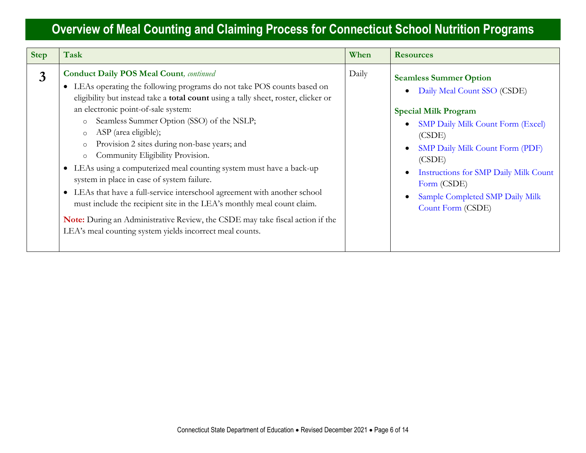| <b>Step</b> | Task                                                                                                                                                                                                                                                                                                                                                                                                                                                                                                                                                                                                                                                                                                                                                                                                                                                                                             | When  | <b>Resources</b>                                                                                                                                                                                                                                                                                                                                                   |
|-------------|--------------------------------------------------------------------------------------------------------------------------------------------------------------------------------------------------------------------------------------------------------------------------------------------------------------------------------------------------------------------------------------------------------------------------------------------------------------------------------------------------------------------------------------------------------------------------------------------------------------------------------------------------------------------------------------------------------------------------------------------------------------------------------------------------------------------------------------------------------------------------------------------------|-------|--------------------------------------------------------------------------------------------------------------------------------------------------------------------------------------------------------------------------------------------------------------------------------------------------------------------------------------------------------------------|
| 3           | <b>Conduct Daily POS Meal Count, continued</b><br>LEAs operating the following programs do not take POS counts based on<br>$\bullet$<br>eligibility but instead take a total count using a tally sheet, roster, clicker or<br>an electronic point-of-sale system:<br>Seamless Summer Option (SSO) of the NSLP;<br>$\circ$<br>ASP (area eligible);<br>$\circ$<br>Provision 2 sites during non-base years; and<br>Community Eligibility Provision.<br>$\circ$<br>LEAs using a computerized meal counting system must have a back-up<br>$\bullet$<br>system in place in case of system failure.<br>• LEAs that have a full-service interschool agreement with another school<br>must include the recipient site in the LEA's monthly meal count claim.<br>Note: During an Administrative Review, the CSDE may take fiscal action if the<br>LEA's meal counting system yields incorrect meal counts. | Daily | <b>Seamless Summer Option</b><br>Daily Meal Count SSO (CSDE)<br>$\bullet$<br><b>Special Milk Program</b><br><b>SMP Daily Milk Count Form (Excel)</b><br>$\bullet$<br>(CSDE)<br>SMP Daily Milk Count Form (PDF)<br>$\bullet$<br>(CSDE)<br>Instructions for SMP Daily Milk Count<br>$\bullet$<br>Form (CSDE)<br>Sample Completed SMP Daily Milk<br>Count Form (CSDE) |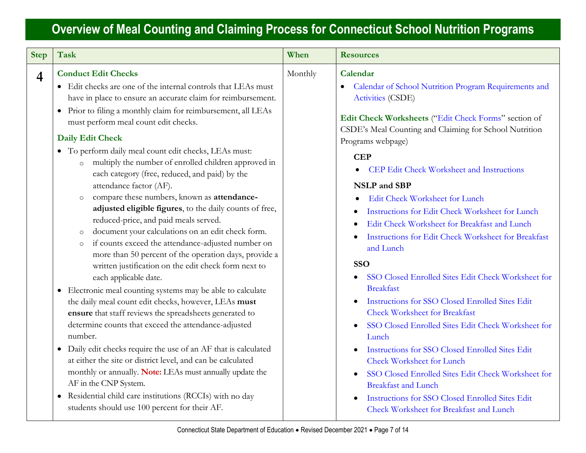| <b>Step</b>    | Task                                                                                                                                                                                                                                                                                                                                                                                                                                                                                                                                                                                                                                                                                                                                                                                                                                                                                                                                                                                                                                                                                                                                                                                                                                                                                                                                                                                                                                                                                                                                        | When    | <b>Resources</b>                                                                                                                                                                                                                                                                                                                                                                                                                                                                                                                                                                                                                                                                                                                                                                                                                                                                                                                                                                                                                                                  |
|----------------|---------------------------------------------------------------------------------------------------------------------------------------------------------------------------------------------------------------------------------------------------------------------------------------------------------------------------------------------------------------------------------------------------------------------------------------------------------------------------------------------------------------------------------------------------------------------------------------------------------------------------------------------------------------------------------------------------------------------------------------------------------------------------------------------------------------------------------------------------------------------------------------------------------------------------------------------------------------------------------------------------------------------------------------------------------------------------------------------------------------------------------------------------------------------------------------------------------------------------------------------------------------------------------------------------------------------------------------------------------------------------------------------------------------------------------------------------------------------------------------------------------------------------------------------|---------|-------------------------------------------------------------------------------------------------------------------------------------------------------------------------------------------------------------------------------------------------------------------------------------------------------------------------------------------------------------------------------------------------------------------------------------------------------------------------------------------------------------------------------------------------------------------------------------------------------------------------------------------------------------------------------------------------------------------------------------------------------------------------------------------------------------------------------------------------------------------------------------------------------------------------------------------------------------------------------------------------------------------------------------------------------------------|
| $\overline{4}$ | <b>Conduct Edit Checks</b><br>• Edit checks are one of the internal controls that LEAs must<br>have in place to ensure an accurate claim for reimbursement.<br>• Prior to filing a monthly claim for reimbursement, all LEAs<br>must perform meal count edit checks.<br><b>Daily Edit Check</b><br>• To perform daily meal count edit checks, LEAs must:<br>multiply the number of enrolled children approved in<br>$\circ$<br>each category (free, reduced, and paid) by the<br>attendance factor (AF).<br>compare these numbers, known as attendance-<br>$\circ$<br>adjusted eligible figures, to the daily counts of free,<br>reduced-price, and paid meals served.<br>document your calculations on an edit check form.<br>$\circ$<br>if counts exceed the attendance-adjusted number on<br>$\circ$<br>more than 50 percent of the operation days, provide a<br>written justification on the edit check form next to<br>each applicable date.<br>• Electronic meal counting systems may be able to calculate<br>the daily meal count edit checks, however, LEAs must<br>ensure that staff reviews the spreadsheets generated to<br>determine counts that exceed the attendance-adjusted<br>number.<br>• Daily edit checks require the use of an AF that is calculated<br>at either the site or district level, and can be calculated<br>monthly or annually. Note: LEAs must annually update the<br>AF in the CNP System.<br>• Residential child care institutions (RCCIs) with no day<br>students should use 100 percent for their AF. | Monthly | Calendar<br>Calendar of School Nutrition Program Requirements and<br><b>Activities (CSDE)</b><br>Edit Check Worksheets ("Edit Check Forms" section of<br>CSDE's Meal Counting and Claiming for School Nutrition<br>Programs webpage)<br><b>CEP</b><br><b>CEP Edit Check Worksheet and Instructions</b><br><b>NSLP</b> and SBP<br>Edit Check Worksheet for Lunch<br>Instructions for Edit Check Worksheet for Lunch<br>Edit Check Worksheet for Breakfast and Lunch<br>Instructions for Edit Check Worksheet for Breakfast<br>and Lunch<br><b>SSO</b><br>SSO Closed Enrolled Sites Edit Check Worksheet for<br><b>Breakfast</b><br>Instructions for SSO Closed Enrolled Sites Edit<br><b>Check Worksheet for Breakfast</b><br>SSO Closed Enrolled Sites Edit Check Worksheet for<br>Lunch<br>Instructions for SSO Closed Enrolled Sites Edit<br><b>Check Worksheet for Lunch</b><br>SSO Closed Enrolled Sites Edit Check Worksheet for<br><b>Breakfast and Lunch</b><br>Instructions for SSO Closed Enrolled Sites Edit<br>Check Worksheet for Breakfast and Lunch |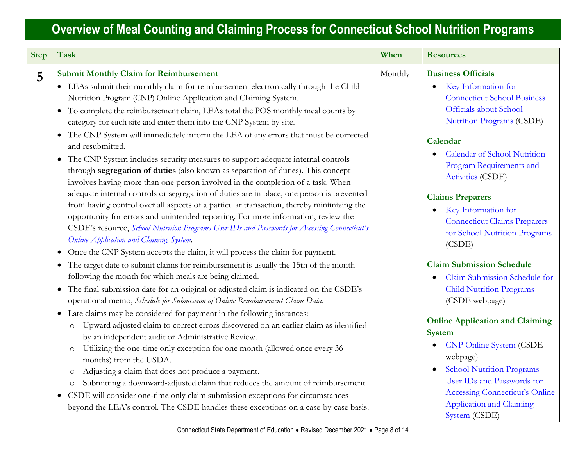| <b>Step</b> | <b>Task</b>                                                                                                                                                                                                                                                                                                                                                                                                                                                                                             | When    | <b>Resources</b>                                                                                                                                                              |
|-------------|---------------------------------------------------------------------------------------------------------------------------------------------------------------------------------------------------------------------------------------------------------------------------------------------------------------------------------------------------------------------------------------------------------------------------------------------------------------------------------------------------------|---------|-------------------------------------------------------------------------------------------------------------------------------------------------------------------------------|
| 5           | <b>Submit Monthly Claim for Reimbursement</b><br>• LEAs submit their monthly claim for reimbursement electronically through the Child<br>Nutrition Program (CNP) Online Application and Claiming System.<br>• To complete the reimbursement claim, LEAs total the POS monthly meal counts by<br>category for each site and enter them into the CNP System by site.<br>• The CNP System will immediately inform the LEA of any errors that must be corrected<br>and resubmitted.                         | Monthly | <b>Business Officials</b><br><b>Key Information for</b><br>$\bullet$<br><b>Connecticut School Business</b><br>Officials about School<br>Nutrition Programs (CSDE)<br>Calendar |
|             | The CNP System includes security measures to support adequate internal controls<br>through segregation of duties (also known as separation of duties). This concept<br>involves having more than one person involved in the completion of a task. When                                                                                                                                                                                                                                                  |         | <b>Calendar of School Nutrition</b><br>Program Requirements and<br>Activities (CSDE)                                                                                          |
|             | adequate internal controls or segregation of duties are in place, one person is prevented<br>from having control over all aspects of a particular transaction, thereby minimizing the<br>opportunity for errors and unintended reporting. For more information, review the<br>CSDE's resource, School Nutrition Programs User IDs and Passwords for Accessing Connecticut's<br>Online Application and Claiming System.<br>Once the CNP System accepts the claim, it will process the claim for payment. |         | <b>Claims Preparers</b><br>Key Information for<br>٠<br><b>Connecticut Claims Preparers</b><br>for School Nutrition Programs<br>(CSDE)                                         |
|             | The target date to submit claims for reimbursement is usually the 15th of the month<br>following the month for which meals are being claimed.<br>The final submission date for an original or adjusted claim is indicated on the CSDE's<br>operational memo, Schedule for Submission of Online Reimbursement Claim Data.                                                                                                                                                                                |         | <b>Claim Submission Schedule</b><br>Claim Submission Schedule for<br><b>Child Nutrition Programs</b><br>(CSDE webpage)                                                        |
|             | • Late claims may be considered for payment in the following instances:<br>Upward adjusted claim to correct errors discovered on an earlier claim as identified<br>$\circ$<br>by an independent audit or Administrative Review.<br>Utilizing the one-time only exception for one month (allowed once every 36<br>$\circ$<br>months) from the USDA.<br>Adjusting a claim that does not produce a payment.<br>$\circlearrowright$                                                                         |         | <b>Online Application and Claiming</b><br><b>System</b><br><b>CNP Online System (CSDE</b><br>webpage)<br><b>School Nutrition Programs</b>                                     |
|             | Submitting a downward-adjusted claim that reduces the amount of reimbursement.<br>$\circlearrowright$<br>CSDE will consider one-time only claim submission exceptions for circumstances<br>beyond the LEA's control. The CSDE handles these exceptions on a case-by-case basis.                                                                                                                                                                                                                         |         | User IDs and Passwords for<br><b>Accessing Connecticut's Online</b><br><b>Application and Claiming</b><br>System (CSDE)                                                       |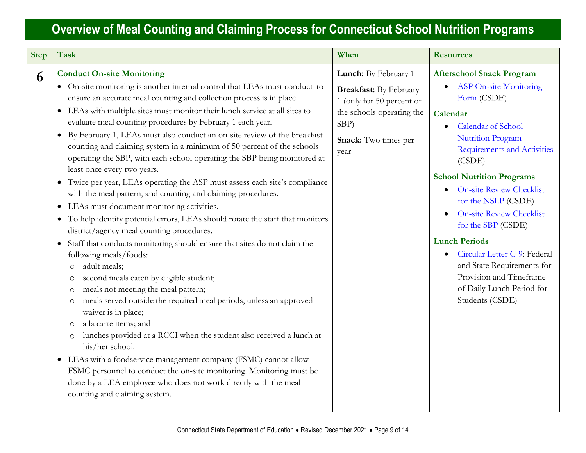| <b>Step</b> | <b>Task</b>                                                                                                                                                                                                                                                                                                                                                                                                                                                                                                                                                                                                                                                                                                                                                                                                                                                                                                                                                                                                                                                                                                                                                                                                                                                                                                                                                                                                                                                                                                                                                                                                                                                                      | When                                                                                                                                                       | <b>Resources</b>                                                                                                                                                                                                                                                                                                                                                                                                                                                                                                                                 |
|-------------|----------------------------------------------------------------------------------------------------------------------------------------------------------------------------------------------------------------------------------------------------------------------------------------------------------------------------------------------------------------------------------------------------------------------------------------------------------------------------------------------------------------------------------------------------------------------------------------------------------------------------------------------------------------------------------------------------------------------------------------------------------------------------------------------------------------------------------------------------------------------------------------------------------------------------------------------------------------------------------------------------------------------------------------------------------------------------------------------------------------------------------------------------------------------------------------------------------------------------------------------------------------------------------------------------------------------------------------------------------------------------------------------------------------------------------------------------------------------------------------------------------------------------------------------------------------------------------------------------------------------------------------------------------------------------------|------------------------------------------------------------------------------------------------------------------------------------------------------------|--------------------------------------------------------------------------------------------------------------------------------------------------------------------------------------------------------------------------------------------------------------------------------------------------------------------------------------------------------------------------------------------------------------------------------------------------------------------------------------------------------------------------------------------------|
| 6           | <b>Conduct On-site Monitoring</b><br>• On-site monitoring is another internal control that LEAs must conduct to<br>ensure an accurate meal counting and collection process is in place.<br>• LEAs with multiple sites must monitor their lunch service at all sites to<br>evaluate meal counting procedures by February 1 each year.<br>• By February 1, LEAs must also conduct an on-site review of the breakfast<br>counting and claiming system in a minimum of 50 percent of the schools<br>operating the SBP, with each school operating the SBP being monitored at<br>least once every two years.<br>• Twice per year, LEAs operating the ASP must assess each site's compliance<br>with the meal pattern, and counting and claiming procedures.<br>LEAs must document monitoring activities.<br>$\bullet$<br>To help identify potential errors, LEAs should rotate the staff that monitors<br>$\bullet$<br>district/agency meal counting procedures.<br>Staff that conducts monitoring should ensure that sites do not claim the<br>following meals/foods:<br>adult meals;<br>$\circ$<br>second meals eaten by eligible student;<br>$\circ$<br>meals not meeting the meal pattern;<br>meals served outside the required meal periods, unless an approved<br>$\circ$<br>waiver is in place;<br>a la carte items; and<br>lunches provided at a RCCI when the student also received a lunch at<br>$\circ$<br>his/her school.<br>• LEAs with a foodservice management company (FSMC) cannot allow<br>FSMC personnel to conduct the on-site monitoring. Monitoring must be<br>done by a LEA employee who does not work directly with the meal<br>counting and claiming system. | Lunch: By February 1<br><b>Breakfast:</b> By February<br>1 (only for 50 percent of<br>the schools operating the<br>$SBP$ )<br>Snack: Two times per<br>year | <b>Afterschool Snack Program</b><br><b>ASP On-site Monitoring</b><br>Form (CSDE)<br>Calendar<br>Calendar of School<br>$\bullet$<br><b>Nutrition Program</b><br><b>Requirements and Activities</b><br>(CSDE)<br><b>School Nutrition Programs</b><br><b>On-site Review Checklist</b><br>$\bullet$<br>for the NSLP (CSDE)<br><b>On-site Review Checklist</b><br>for the SBP (CSDE)<br><b>Lunch Periods</b><br>Circular Letter C-9: Federal<br>and State Requirements for<br>Provision and Timeframe<br>of Daily Lunch Period for<br>Students (CSDE) |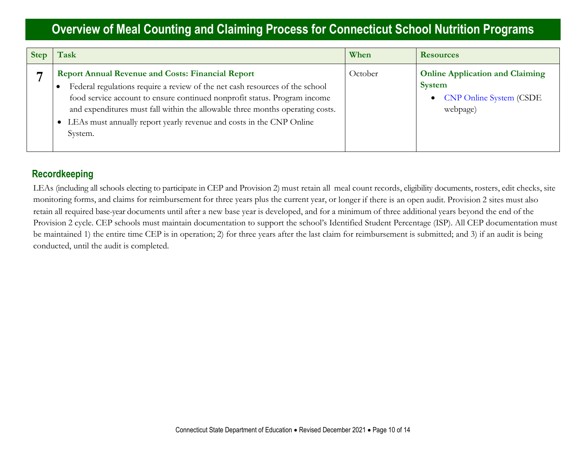| <b>Step</b> | $\Gamma$ ask                                                                                                                                                                                                                                                                                                                                                                              | When    | <b>Resources</b>                                                                                                   |
|-------------|-------------------------------------------------------------------------------------------------------------------------------------------------------------------------------------------------------------------------------------------------------------------------------------------------------------------------------------------------------------------------------------------|---------|--------------------------------------------------------------------------------------------------------------------|
|             | <b>Report Annual Revenue and Costs: Financial Report</b><br>Federal regulations require a review of the net cash resources of the school<br>food service account to ensure continued nonprofit status. Program income<br>and expenditures must fall within the allowable three months operating costs.<br>LEAs must annually report yearly revenue and costs in the CNP Online<br>System. | October | <b>Online Application and Claiming</b><br><b>System</b><br><b>CNP Online System (CSDE</b><br>$\bullet$<br>webpage) |

#### **Recordkeeping**

LEAs (including all schools electing to participate in CEP and Provision 2) must retain all meal count records, eligibility documents, rosters, edit checks, site monitoring forms, and claims for reimbursement for three years plus the current year, or longer if there is an open audit. Provision 2 sites must also retain all required base-year documents until after a new base year is developed, and for a minimum of three additional years beyond the end of the Provision 2 cycle. CEP schools must maintain documentation to support the school's Identified Student Percentage (ISP). All CEP documentation must be maintained 1) the entire time CEP is in operation; 2) for three years after the last claim for reimbursement is submitted; and 3) if an audit is being conducted, until the audit is completed.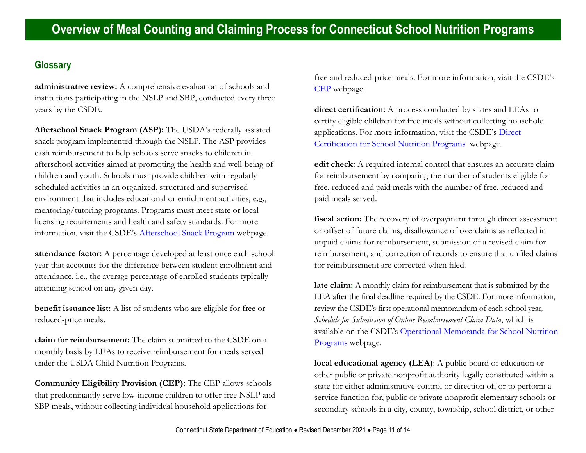#### **Glossary**

**administrative review:** A comprehensive evaluation of schools and institutions participating in the NSLP and SBP, conducted every three years by the CSDE.

**Afterschool Snack Program (ASP):** The USDA's federally assisted snack program implemented through the NSLP. The ASP provides cash reimbursement to help schools serve snacks to children in afterschool activities aimed at promoting the health and well-being of children and youth. Schools must provide children with regularly scheduled activities in an organized, structured and supervised environment that includes educational or enrichment activities, e.g., mentoring/tutoring programs. Programs must meet state or local licensing requirements and health and safety standards. For more information, visit the CSDE's [Afterschool Snack Program](https://portal.ct.gov/SDE/Nutrition/Afterschool-Snack-Program) webpage.

**attendance factor:** A percentage developed at least once each school year that accounts for the difference between student enrollment and attendance, i.e., the average percentage of enrolled students typically attending school on any given day.

**benefit issuance list:** A list of students who are eligible for free or reduced-price meals.

**claim for reimbursement:** The claim submitted to the CSDE on a monthly basis by LEAs to receive reimbursement for meals served under the USDA Child Nutrition Programs.

**Community Eligibility Provision (CEP):** The CEP allows schools that predominantly serve low-income children to offer free NSLP and SBP meals, without collecting individual household applications for

free and reduced-price meals. For more information, visit the CSDE's [CEP](https://portal.ct.gov/SDE/Nutrition/Community-Eligibility-Provision) webpage.

**direct certification:** A process conducted by states and LEAs to certify eligible children for free meals without collecting household applications. For more information, visit the CSDE's [Direct](https://portal.ct.gov/SDE/Nutrition/Direct-Certification)  [Certification for School Nutrition Programs](https://portal.ct.gov/SDE/Nutrition/Direct-Certification) webpage.

**edit check:** A required internal control that ensures an accurate claim for reimbursement by comparing the number of students eligible for free, reduced and paid meals with the number of free, reduced and paid meals served.

**fiscal action:** The recovery of overpayment through direct assessment or offset of future claims, disallowance of overclaims as reflected in unpaid claims for reimbursement, submission of a revised claim for reimbursement, and correction of records to ensure that unfiled claims for reimbursement are corrected when filed.

**late claim:** A monthly claim for reimbursement that is submitted by the LEA after the final deadline required by the CSDE. For more information, review the CSDE's first operational memorandum of each school year*, Schedule for Submission of Online Reimbursement Claim Data*, which is available on the CSDE's [Operational Memoranda for School Nutrition](https://portal.ct.gov/SDE/Lists/Operational-Memoranda-for-School-Nutrition-Programs)  [Programs](https://portal.ct.gov/SDE/Lists/Operational-Memoranda-for-School-Nutrition-Programs) webpage.

**local educational agency (LEA)**: A public board of education or other public or private nonprofit authority legally constituted within a state for either administrative control or direction of, or to perform a service function for, public or private nonprofit elementary schools or secondary schools in a city, county, township, school district, or other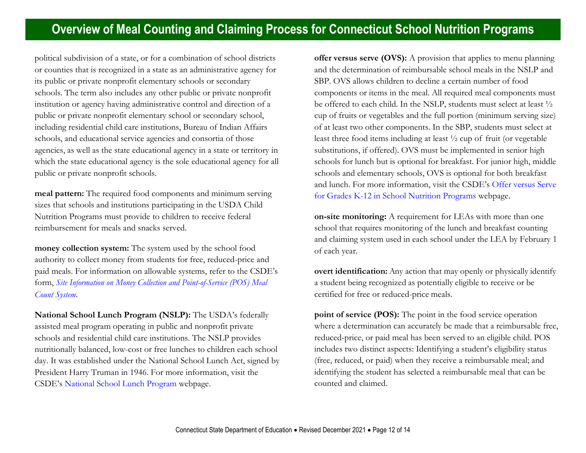political subdivision of a state, or for a combination of school districts or counties that is recognized in a state as an administrative agency for its public or private nonprofit elementary schools or secondary schools. The term also includes any other public or private nonprofit institution or agency having administrative control and direction of a public or private nonprofit elementary school or secondary school, including residential child care institutions, Bureau of Indian Affairs schools, and educational service agencies and consortia of those agencies, as well as the state educational agency in a state or territory in which the state educational agency is the sole educational agency for all public or private nonprofit schools.

**meal pattern:** The required food components and minimum serving sizes that schools and institutions participating in the USDA Child Nutrition Programs must provide to children to receive federal reimbursement for meals and snacks served.

**money collection system:** The system used by the school food authority to collect money from students for free, reduced-price and paid meals. For information on allowable systems, refer to the CSDE's form, *[Site Information on Money Collection and Point-of-Service \(POS\) Meal](https://portal.ct.gov/-/media/SDE/Nutrition/NSLP/Forms/MealCount/Site_Information_Money_Collection_POS_Meal_Counts_SNP.docx)  [Count System](https://portal.ct.gov/-/media/SDE/Nutrition/NSLP/Forms/MealCount/Site_Information_Money_Collection_POS_Meal_Counts_SNP.docx)*.

**National School Lunch Program (NSLP):** The USDA's federally assisted meal program operating in public and nonprofit private schools and residential child care institutions. The NSLP provides nutritionally balanced, low-cost or free lunches to children each school day. It was established under the National School Lunch Act, signed by President Harry Truman in 1946. For more information, visit the CSDE's [National School Lunch Program](https://portal.ct.gov/SDE/Nutrition/National-School-Lunch-Program) webpage.

**offer versus serve (OVS):** A provision that applies to menu planning and the determination of reimbursable school meals in the NSLP and SBP. OVS allows children to decline a certain number of food components or items in the meal. All required meal components must be offered to each child. In the NSLP, students must select at least ½ cup of fruits or vegetables and the full portion (minimum serving size) of at least two other components. In the SBP, students must select at least three food items including at least ½ cup of fruit (or vegetable substitutions, if offered). OVS must be implemented in senior high schools for lunch but is optional for breakfast. For junior high, middle schools and elementary schools, OVS is optional for both breakfast and lunch. For more information, visit the CSDE's [Offer versus Serve](https://portal.ct.gov/SDE/Nutrition/Offer-versus-Serve-for-School-Nutrition-Programs)  [for Grades K-12 in School Nutrition Programs](https://portal.ct.gov/SDE/Nutrition/Offer-versus-Serve-for-School-Nutrition-Programs) webpage.

**on-site monitoring:** A requirement for LEAs with more than one school that requires monitoring of the lunch and breakfast counting and claiming system used in each school under the LEA by February 1 of each year.

**overt identification:** Any action that may openly or physically identify a student being recognized as potentially eligible to receive or be certified for free or reduced-price meals.

**point of service (POS):** The point in the food service operation where a determination can accurately be made that a reimbursable free, reduced-price, or paid meal has been served to an eligible child. POS includes two distinct aspects: Identifying a student's eligibility status (free, reduced, or paid) when they receive a reimbursable meal; and identifying the student has selected a reimbursable meal that can be counted and claimed.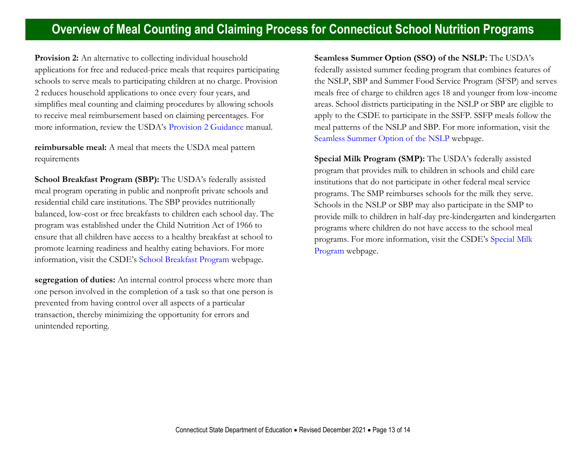**Provision 2:** An alternative to collecting individual household applications for free and reduced-price meals that requires participating schools to serve meals to participating children at no charge. Provision 2 reduces household applications to once every four years, and simplifies meal counting and claiming procedures by allowing schools to receive meal reimbursement based on claiming percentages. For more information, review the USDA's [Provision 2 Guidance](https://fns-prod.azureedge.net/sites/default/files/Prov2Guidance.pdf) manual.

**reimbursable meal:** A meal that meets the USDA meal pattern requirements

**School Breakfast Program (SBP):** The USDA's federally assisted meal program operating in public and nonprofit private schools and residential child care institutions. The SBP provides nutritionally balanced, low-cost or free breakfasts to children each school day. The program was established under the Child Nutrition Act of 1966 to ensure that all children have access to a healthy breakfast at school to promote learning readiness and healthy eating behaviors. For more information, visit the CSDE's [School Breakfast Program](https://portal.ct.gov/SDE/Nutrition/School-Breakfast-Program) webpage.

**segregation of duties:** An internal control process where more than one person involved in the completion of a task so that one person is prevented from having control over all aspects of a particular transaction, thereby minimizing the opportunity for errors and unintended reporting.

**Seamless Summer Option (SSO) of the NSLP:** The USDA's federally assisted summer feeding program that combines features of the NSLP, SBP and Summer Food Service Program (SFSP) and serves meals free of charge to children ages 18 and younger from low-income areas. School districts participating in the NSLP or SBP are eligible to apply to the CSDE to participate in the SSFP. SSFP meals follow the meal patterns of the NSLP and SBP. For more information, visit the [Seamless Summer Option of the NSLP](https://portal.ct.gov/SDE/Nutrition/Seamless-Summer-Option-SSO-of-the-NSLP) webpage.

**Special Milk Program (SMP):** The USDA's federally assisted program that provides milk to children in schools and child care institutions that do not participate in other federal meal service programs. The SMP reimburses schools for the milk they serve. Schools in the NSLP or SBP may also participate in the SMP to provide milk to children in half-day pre-kindergarten and kindergarten programs where children do not have access to the school meal programs. For more information, visit the CSDE's [Special Milk](https://portal.ct.gov/SDE/Nutrition/Special-Milk-Program)  [Program](https://portal.ct.gov/SDE/Nutrition/Special-Milk-Program) webpage.